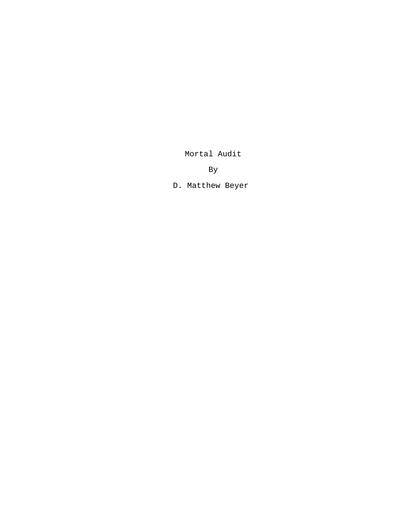Mortal Audit

By

D. Matthew Beyer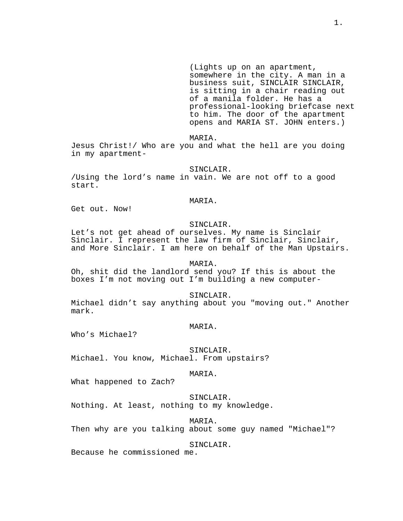(Lights up on an apartment, somewhere in the city. A man in a business suit, SINCLAIR SINCLAIR, is sitting in a chair reading out of a manila folder. He has a professional-looking briefcase next to him. The door of the apartment opens and MARIA ST. JOHN enters.)

MARIA.

Jesus Christ!/ Who are you and what the hell are you doing in my apartment-

SINCLAIR.

/Using the lord's name in vain. We are not off to a good start.

MARIA.

Get out. Now!

# SINCLAIR.

Let's not get ahead of ourselves. My name is Sinclair Sinclair. I represent the law firm of Sinclair, Sinclair, and More Sinclair. I am here on behalf of the Man Upstairs.

# MARIA.

Oh, shit did the landlord send you? If this is about the boxes I'm not moving out I'm building a new computer-

SINCLAIR.

Michael didn't say anything about you "moving out." Another mark.

### MARIA.

Who's Michael?

SINCLAIR.

Michael. You know, Michael. From upstairs?

### MARIA.

What happened to Zach?

## SINCLAIR.

Nothing. At least, nothing to my knowledge.

#### MARIA.

Then why are you talking about some guy named "Michael"?

## SINCLAIR.

Because he commissioned me.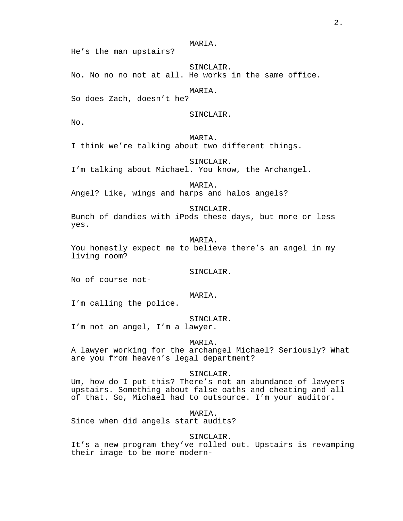SINCLAIR. No. No no no not at all. He works in the same office.

MARIA.

MARIA.

So does Zach, doesn't he?

SINCLAIR.

No.

MARIA.

I think we're talking about two different things.

SINCLAIR.

I'm talking about Michael. You know, the Archangel.

MARIA. Angel? Like, wings and harps and halos angels?

SINCLAIR.

Bunch of dandies with iPods these days, but more or less yes.

MARTA.

You honestly expect me to believe there's an angel in my living room?

SINCLAIR.

No of course not-

### MARIA.

I'm calling the police.

SINCLAIR.

I'm not an angel, I'm a lawyer.

MARIA.

A lawyer working for the archangel Michael? Seriously? What are you from heaven's legal department?

#### SINCLAIR.

Um, how do I put this? There's not an abundance of lawyers upstairs. Something about false oaths and cheating and all of that. So, Michael had to outsource. I'm your auditor.

MARIA.

Since when did angels start audits?

SINCLAIR.

It's a new program they've rolled out. Upstairs is revamping their image to be more modern-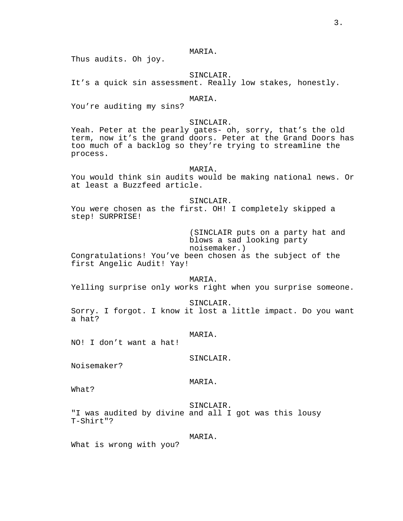Thus audits. Oh joy.

# SINCLAIR.

It's a quick sin assessment. Really low stakes, honestly.

### MARIA.

You're auditing my sins?

## SINCLAIR.

Yeah. Peter at the pearly gates- oh, sorry, that's the old term, now it's the grand doors. Peter at the Grand Doors has too much of a backlog so they're trying to streamline the process.

### MARIA.

You would think sin audits would be making national news. Or at least a Buzzfeed article.

#### SINCLAIR.

You were chosen as the first. OH! I completely skipped a step! SURPRISE!

> (SINCLAIR puts on a party hat and blows a sad looking party noisemaker.)

Congratulations! You've been chosen as the subject of the first Angelic Audit! Yay!

#### MARIA.

Yelling surprise only works right when you surprise someone.

#### SINCLAIR.

Sorry. I forgot. I know it lost a little impact. Do you want a hat?

#### MARIA.

NO! I don't want a hat!

# SINCLAIR.

Noisemaker?

### MARIA.

What?

#### SINCLAIR.

"I was audited by divine and all I got was this lousy T-Shirt"?

#### MARIA.

What is wrong with you?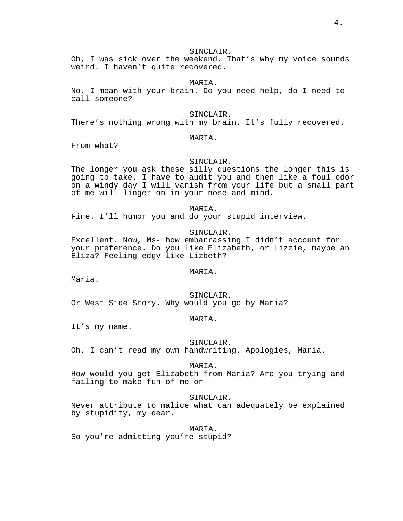## SINCLAIR.

Oh, I was sick over the weekend. That's why my voice sounds weird. I haven't quite recovered.

#### MARIA.

No, I mean with your brain. Do you need help, do I need to call someone?

#### SINCLAIR.

There's nothing wrong with my brain. It's fully recovered.

# MARIA.

From what?

#### SINCLAIR.

The longer you ask these silly questions the longer this is going to take. I have to audit you and then like a foul odor on a windy day I will vanish from your life but a small part of me will linger on in your nose and mind.

MARIA.

Fine. I'll humor you and do your stupid interview.

# SINCLAIR.

Excellent. Now, Ms- how embarrassing I didn't account for your preference. Do you like Elizabeth, or Lizzie, maybe an Eliza? Feeling edgy like Lizbeth?

#### MARIA.

Maria.

SINCLAIR. Or West Side Story. Why would you go by Maria?

#### MARIA.

It's my name.

#### SINCLAIR.

Oh. I can't read my own handwriting. Apologies, Maria.

#### MARIA.

How would you get Elizabeth from Maria? Are you trying and failing to make fun of me or-

## SINCLAIR.

Never attribute to malice what can adequately be explained by stupidity, my dear.

**MARTA**.

So you're admitting you're stupid?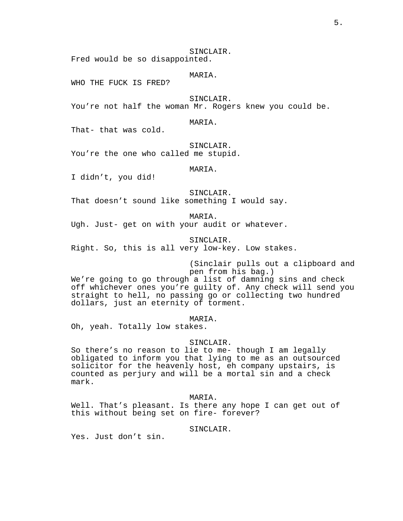SINCLAIR. Fred would be so disappointed.

# MARIA.

WHO THE FUCK IS FRED?

### SINCLAIR.

You're not half the woman Mr. Rogers knew you could be.

# MARIA.

That- that was cold.

#### SINCLAIR.

You're the one who called me stupid.

### MARIA.

I didn't, you did!

SINCLAIR.

That doesn't sound like something I would say.

MARIA.

Ugh. Just- get on with your audit or whatever.

SINCLAIR. Right. So, this is all very low-key. Low stakes.

> (Sinclair pulls out a clipboard and pen from his bag.)

We're going to go through a list of damning sins and check off whichever ones you're guilty of. Any check will send you straight to hell, no passing go or collecting two hundred dollars, just an eternity of torment.

MARIA.

Oh, yeah. Totally low stakes.

### SINCLAIR.

So there's no reason to lie to me- though I am legally obligated to inform you that lying to me as an outsourced solicitor for the heavenly host, eh company upstairs, is counted as perjury and will be a mortal sin and a check mark.

## MARIA.

Well. That's pleasant. Is there any hope I can get out of this without being set on fire- forever?

SINCLAIR.

Yes. Just don't sin.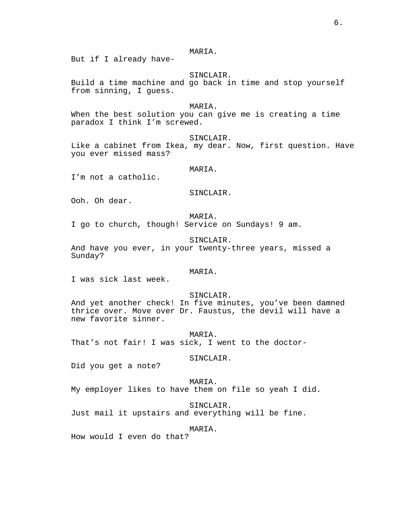But if I already have-

# SINCLAIR.

Build a time machine and go back in time and stop yourself from sinning, I guess.

#### MARIA.

When the best solution you can give me is creating a time paradox I think I'm screwed.

### SINCLAIR.

Like a cabinet from Ikea, my dear. Now, first question. Have you ever missed mass?

## MARIA.

I'm not a catholic.

### SINCLAIR.

Ooh. Oh dear.

MARIA.

I go to church, though! Service on Sundays! 9 am.

SINCLAIR.

And have you ever, in your twenty-three years, missed a Sunday?

### MARIA.

I was sick last week.

### SINCLAIR.

And yet another check! In five minutes, you've been damned thrice over. Move over Dr. Faustus, the devil will have a new favorite sinner.

MARIA. That's not fair! I was sick, I went to the doctor-

# SINCLAIR.

Did you get a note?

MARIA. My employer likes to have them on file so yeah I did.

SINCLAIR.

Just mail it upstairs and everything will be fine.

#### MARIA.

How would I even do that?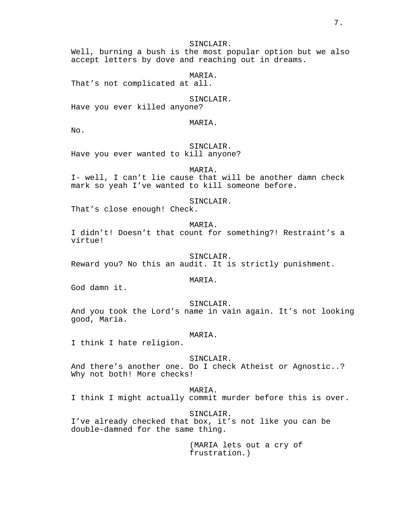# SINCLAIR.

Well, burning a bush is the most popular option but we also accept letters by dove and reaching out in dreams.

## MARIA.

That's not complicated at all.

# SINCLAIR.

Have you ever killed anyone?

#### MARIA.

No.

# SINCLAIR.

Have you ever wanted to kill anyone?

# MARIA.

I- well, I can't lie cause that will be another damn check mark so yeah I've wanted to kill someone before.

#### SINCLAIR.

That's close enough! Check.

## MARIA.

I didn't! Doesn't that count for something?! Restraint's a virtue!

### SINCLAIR.

Reward you? No this an audit. It is strictly punishment.

### MARIA.

God damn it.

### SINCLAIR.

And you took the Lord's name in vain again. It's not looking good, Maria.

#### MARIA.

I think I hate religion.

#### SINCLAIR.

And there's another one. Do I check Atheist or Agnostic..? Why not both! More checks!

## MARIA.

I think I might actually commit murder before this is over.

# SINCLAIR.

I've already checked that box, it's not like you can be double-damned for the same thing.

> (MARIA lets out a cry of frustration.)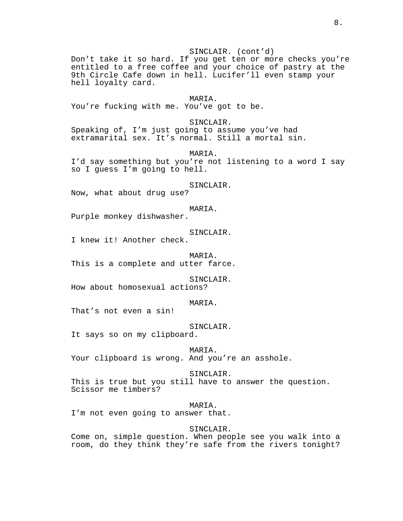# SINCLAIR. (cont'd)

Don't take it so hard. If you get ten or more checks you're entitled to a free coffee and your choice of pastry at the 9th Circle Cafe down in hell. Lucifer'll even stamp your hell loyalty card.

MARIA. You're fucking with me. You've got to be.

SINCLAIR.

Speaking of, I'm just going to assume you've had extramarital sex. It's normal. Still a mortal sin.

MARIA. I'd say something but you're not listening to a word I say so I guess I'm going to hell.

SINCLAIR.

Now, what about drug use?

## MARIA.

Purple monkey dishwasher.

SINCLAIR.

I knew it! Another check.

MARIA. This is a complete and utter farce.

SINCLAIR.

How about homosexual actions?

MARIA.

That's not even a sin!

SINCLAIR.

It says so on my clipboard.

MARIA. Your clipboard is wrong. And you're an asshole.

SINCLAIR. This is true but you still have to answer the question. Scissor me timbers?

MARIA.

I'm not even going to answer that.

SINCLAIR.

Come on, simple question. When people see you walk into a room, do they think they're safe from the rivers tonight?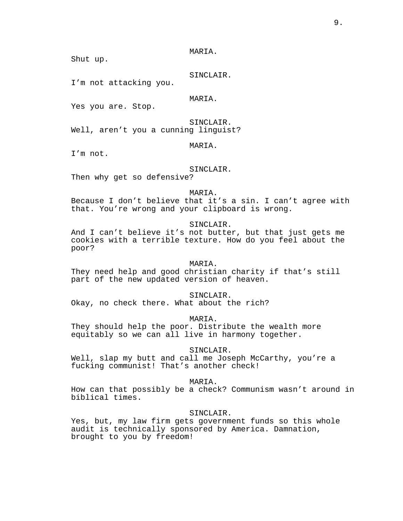Shut up.

SINCLAIR.

I'm not attacking you.

MARIA.

Yes you are. Stop.

SINCLAIR. Well, aren't you a cunning linguist?

#### MARIA.

I'm not.

## SINCLAIR.

Then why get so defensive?

MARIA.

Because I don't believe that it's a sin. I can't agree with that. You're wrong and your clipboard is wrong.

SINCLAIR.

And I can't believe it's not butter, but that just gets me cookies with a terrible texture. How do you feel about the poor?

# MARIA.

They need help and good christian charity if that's still part of the new updated version of heaven.

SINCLAIR. Okay, no check there. What about the rich?

MARIA. They should help the poor. Distribute the wealth more

equitably so we can all live in harmony together.

SINCLAIR.

Well, slap my butt and call me Joseph McCarthy, you're a fucking communist! That's another check!

MARIA.

How can that possibly be a check? Communism wasn't around in biblical times.

SINCLAIR.

Yes, but, my law firm gets government funds so this whole audit is technically sponsored by America. Damnation, brought to you by freedom!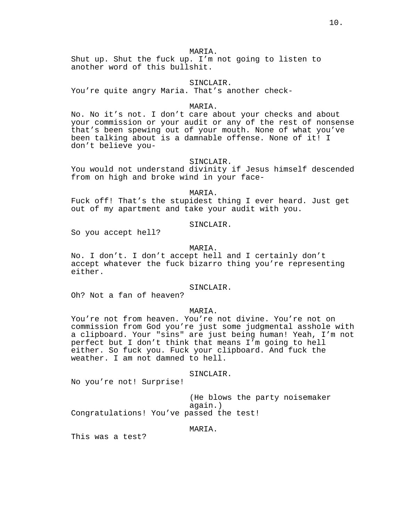Shut up. Shut the fuck up. I'm not going to listen to another word of this bullshit.

#### SINCLAIR.

You're quite angry Maria. That's another check-

#### MARIA.

No. No it's not. I don't care about your checks and about your commission or your audit or any of the rest of nonsense that's been spewing out of your mouth. None of what you've been talking about is a damnable offense. None of it! I don't believe you-

### SINCLAIR.

You would not understand divinity if Jesus himself descended from on high and broke wind in your face-

MARIA.

Fuck off! That's the stupidest thing I ever heard. Just get out of my apartment and take your audit with you.

SINCLAIR.

So you accept hell?

### MARIA.

No. I don't. I don't accept hell and I certainly don't accept whatever the fuck bizarro thing you're representing either.

SINCLAIR.

Oh? Not a fan of heaven?

### MARIA.

You're not from heaven. You're not divine. You're not on commission from God you're just some judgmental asshole with a clipboard. Your "sins" are just being human! Yeah, I'm not perfect but I don't think that means I'm going to hell either. So fuck you. Fuck your clipboard. And fuck the weather. I am not damned to hell.

### SINCLAIR.

No you're not! Surprise!

(He blows the party noisemaker again.) Congratulations! You've passed the test!

#### MARIA.

This was a test?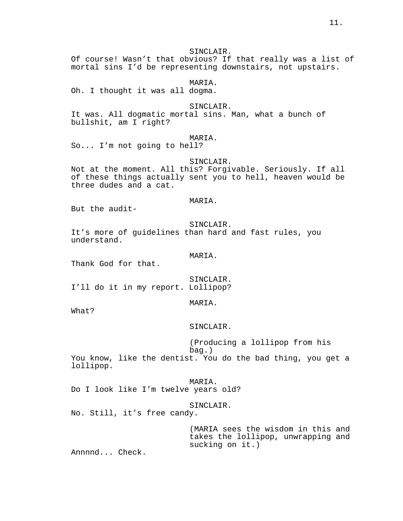# SINCLAIR.

Of course! Wasn't that obvious? If that really was a list of mortal sins I'd be representing downstairs, not upstairs.

MARIA.

Oh. I thought it was all dogma.

#### SINCLAIR.

It was. All dogmatic mortal sins. Man, what a bunch of bullshit, am I right?

### MARIA.

So... I'm not going to hell?

#### SINCLAIR.

Not at the moment. All this? Forgivable. Seriously. If all of these things actually sent you to hell, heaven would be three dudes and a cat.

#### MARIA.

But the audit-

#### SINCLAIR.

It's more of guidelines than hard and fast rules, you understand.

MARIA.

Thank God for that.

SINCLAIR. I'll do it in my report. Lollipop?

### MARIA.

What?

SINCLAIR.

(Producing a lollipop from his bag.) You know, like the dentist. You do the bad thing, you get a lollipop.

MARIA. Do I look like I'm twelve years old?

#### SINCLAIR.

No. Still, it's free candy.

(MARIA sees the wisdom in this and takes the lollipop, unwrapping and sucking on it.)

Annnnd... Check.